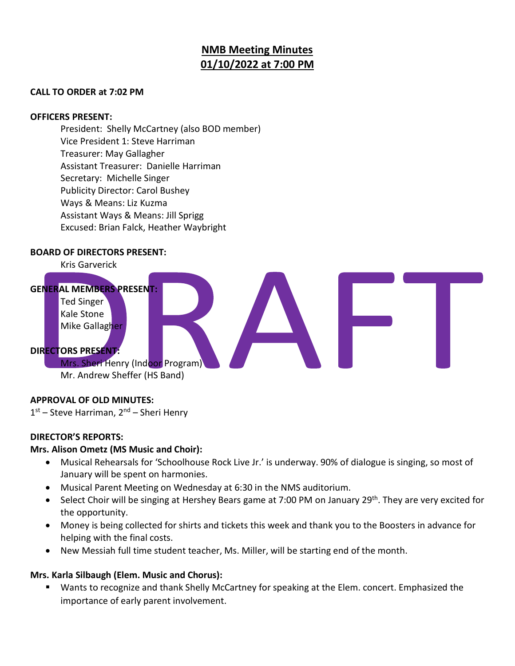# **NMB Meeting Minutes 01/10/2022 at 7:00 PM**

#### **CALL TO ORDER at 7:02 PM**

#### **OFFICERS PRESENT:**

President: Shelly McCartney (also BOD member) Vice President 1: Steve Harriman Treasurer: May Gallagher Assistant Treasurer: Danielle Harriman Secretary: Michelle Singer Publicity Director: Carol Bushey Ways & Means: Liz Kuzma Assistant Ways & Means: Jill Sprigg Excused: Brian Falck, Heather Waybright

#### **BOARD OF DIRECTORS PRESENT:**



#### **APPROVAL OF OLD MINUTES:**

1st – Steve Harriman, 2<sup>nd</sup> – Sheri Henry

#### **DIRECTOR'S REPORTS:**

#### **Mrs. Alison Ometz (MS Music and Choir):**

- Musical Rehearsals for 'Schoolhouse Rock Live Jr.' is underway. 90% of dialogue is singing, so most of January will be spent on harmonies.
- Musical Parent Meeting on Wednesday at 6:30 in the NMS auditorium.
- Select Choir will be singing at Hershey Bears game at 7:00 PM on January 29<sup>th</sup>. They are very excited for the opportunity.
- Money is being collected for shirts and tickets this week and thank you to the Boosters in advance for helping with the final costs.
- New Messiah full time student teacher, Ms. Miller, will be starting end of the month.

#### **Mrs. Karla Silbaugh (Elem. Music and Chorus):**

Wants to recognize and thank Shelly McCartney for speaking at the Elem. concert. Emphasized the importance of early parent involvement.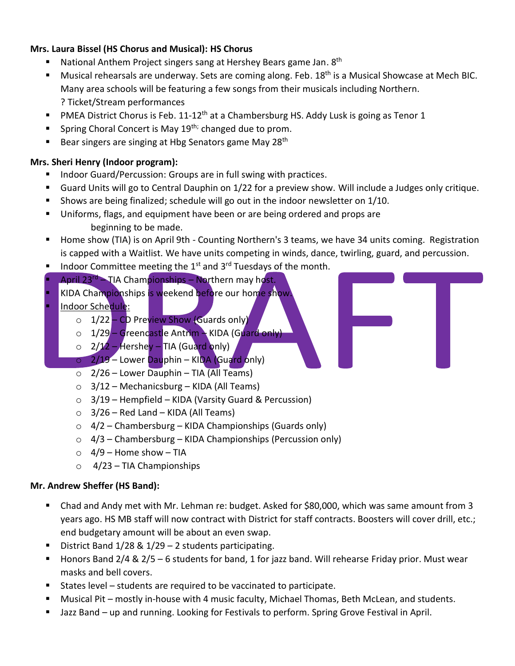#### **Mrs. Laura Bissel (HS Chorus and Musical): HS Chorus**

- National Anthem Project singers sang at Hershey Bears game Jan. 8<sup>th</sup>
- Musical rehearsals are underway. Sets are coming along. Feb. 18<sup>th</sup> is a Musical Showcase at Mech BIC. Many area schools will be featuring a few songs from their musicals including Northern. ? Ticket/Stream performances
- **PMEA District Chorus is Feb. 11-12<sup>th</sup> at a Chambersburg HS. Addy Lusk is going as Tenor 1**
- **E** Spring Choral Concert is May 19<sup>th;</sup> changed due to prom.
- **E** Bear singers are singing at Hbg Senators game May 28<sup>th</sup>

#### **Mrs. Sheri Henry (Indoor program):**

- Indoor Guard/Percussion: Groups are in full swing with practices.
- Guard Units will go to Central Dauphin on 1/22 for a preview show. Will include a Judges only critique.
- Shows are being finalized; schedule will go out in the indoor newsletter on 1/10.
- Uniforms, flags, and equipment have been or are being ordered and props are beginning to be made.
- **E** Home show (TIA) is on April 9th Counting Northern's 3 teams, we have 34 units coming. Registration is capped with a Waitlist. We have units competing in winds, dance, twirling, guard, and percussion.
- Indoor Committee meeting the  $1<sup>st</sup>$  and  $3<sup>rd</sup>$  Tuesdays of the month.
- April  $23^{rd}$  TIA Championships Northern may host.
- KIDA Championships is weekend before our home show.
- Indoor Schedule:
	- o 1/22 CD Preview Show (Guards only)
	- o 1/29 Greencastle Antrim KIDA (Guard only)
	- $\circ$  2/12 Hershey TIA (Guard only)
	- $\overline{O}$  2/19 Lower Dauphin KIDA (Guard only)
	- $\circ$  2/26 Lower Dauphin TIA (All Teams)
	- $\circ$  3/12 Mechanicsburg KIDA (All Teams)
	- $\circ$  3/19 Hempfield KIDA (Varsity Guard & Percussion)
	- $\circ$  3/26 Red Land KIDA (All Teams)
	- $\circ$  4/2 Chambersburg KIDA Championships (Guards only)
	- $\circ$  4/3 Chambersburg KIDA Championships (Percussion only)
	- $\circ$  4/9 Home show TIA
	- $\circ$  4/23 TIA Championships

#### **Mr. Andrew Sheffer (HS Band):**

- Chad and Andy met with Mr. Lehman re: budget. Asked for \$80,000, which was same amount from 3 years ago. HS MB staff will now contract with District for staff contracts. Boosters will cover drill, etc.; end budgetary amount will be about an even swap.
- District Band  $1/28$  &  $1/29 2$  students participating.
- Honors Band  $2/4$  &  $2/5$  6 students for band, 1 for jazz band. Will rehearse Friday prior. Must wear masks and bell covers.
- States level students are required to be vaccinated to participate.
- **■** Musical Pit mostly in-house with 4 music faculty, Michael Thomas, Beth McLean, and students.
- Jazz Band up and running. Looking for Festivals to perform. Spring Grove Festival in April.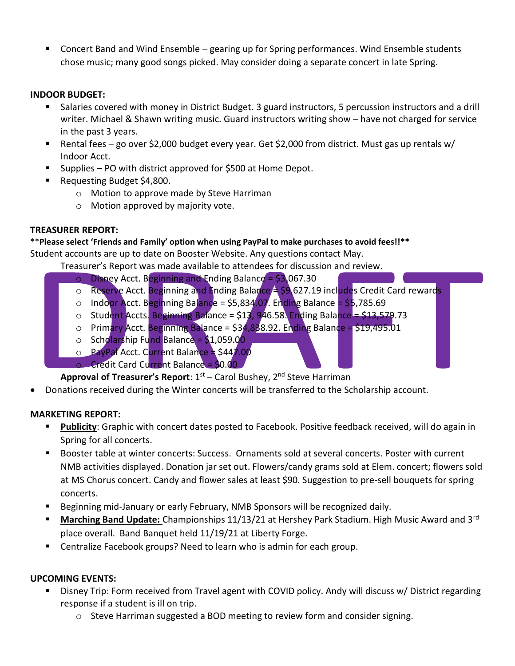Concert Band and Wind Ensemble – gearing up for Spring performances. Wind Ensemble students chose music; many good songs picked. May consider doing a separate concert in late Spring.

#### **INDOOR BUDGET:**

- Salaries covered with money in District Budget. 3 guard instructors, 5 percussion instructors and a drill writer. Michael & Shawn writing music. Guard instructors writing show – have not charged for service in the past 3 years.
- Rental fees go over \$2,000 budget every year. Get \$2,000 from district. Must gas up rentals w/ Indoor Acct.
- Supplies PO with district approved for \$500 at Home Depot.
- Requesting Budget \$4,800.
	- o Motion to approve made by Steve Harriman
	- o Motion approved by majority vote.

#### **TREASURER REPORT:**

## \*\***Please select 'Friends and Family' option when using PayPal to make purchases to avoid fees!!\*\***

Student accounts are up to date on Booster Website. Any questions contact May.

Treasurer's Report was made available to attendees for discussion and review.

- $\circ$  Disney Acct. Beginning and Ending Balance = \$3,067.30
- $\circ$  Reserve Acct. Beginning and Ending Balance  $\triangle$  \$9,627.19 includes Credit Card rewards
- $\circ$  Indoor Acct. Beginning Balance = \$5,834.07. Ending Balance = \$5,785.69
- $\circ$  Student Accts. Beginning Balance = \$13, 946.58. Ending Balance = \$13,579.73
- $\circ$  Primary Acct. Beginning Balance = \$34,838.92. Ending Balance = \$19,495.01
- $\circ$  Scholarship Fund Balance = \$1,059.00
- $\circ$  PayPal Acct. Current Balance  $\approx$  \$447.00
- o Credit Card Current Balance = \$0.00

**Approval of Treasurer's Report**: 1<sup>st</sup> – Carol Bushey, 2<sup>nd</sup> Steve Harriman

• Donations received during the Winter concerts will be transferred to the Scholarship account.

#### **MARKETING REPORT:**

- Publicity: Graphic with concert dates posted to Facebook. Positive feedback received, will do again in Spring for all concerts.
- Booster table at winter concerts: Success. Ornaments sold at several concerts. Poster with current NMB activities displayed. Donation jar set out. Flowers/candy grams sold at Elem. concert; flowers sold at MS Chorus concert. Candy and flower sales at least \$90. Suggestion to pre-sell bouquets for spring concerts.
- Beginning mid-January or early February, NMB Sponsors will be recognized daily.
- **Marching Band Update:** Championships 11/13/21 at Hershey Park Stadium. High Music Award and 3<sup>rd</sup> place overall. Band Banquet held 11/19/21 at Liberty Forge.
- Centralize Facebook groups? Need to learn who is admin for each group.

#### **UPCOMING EVENTS:**

- Disney Trip: Form received from Travel agent with COVID policy. Andy will discuss w/ District regarding response if a student is ill on trip.
	- $\circ$  Steve Harriman suggested a BOD meeting to review form and consider signing.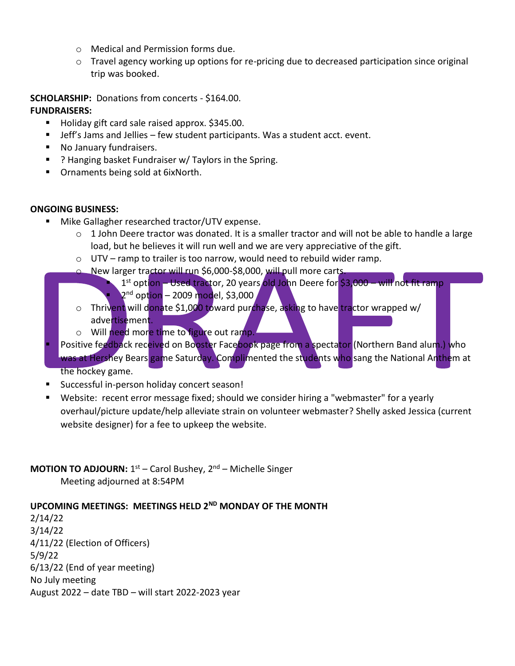- o Medical and Permission forms due.
- $\circ$  Travel agency working up options for re-pricing due to decreased participation since original trip was booked.

**SCHOLARSHIP:** Donations from concerts - \$164.00.

#### **FUNDRAISERS:**

- Holiday gift card sale raised approx. \$345.00.
- Jeff's Jams and Jellies few student participants. Was a student acct. event.
- No January fundraisers.
- ? Hanging basket Fundraiser w/ Taylors in the Spring.
- Ornaments being sold at 6ixNorth.

#### **ONGOING BUSINESS:**

- Mike Gallagher researched tractor/UTV expense.
	- $\circ$  1 John Deere tractor was donated. It is a smaller tractor and will not be able to handle a large load, but he believes it will run well and we are very appreciative of the gift.
	- o UTV ramp to trailer is too narrow, would need to rebuild wider ramp.
	- o New larger tractor will run \$6,000-\$8,000, will pull more carts.
		- **E** 1<sup>st</sup> option Used tractor, 20 years old John Deere for \$3,000 will not fit ramp **P** 2<sup>nd</sup> option – 2009 model, \$3,000
	- o Thrivent will donate \$1,000 toward purchase, asking to have tractor wrapped w/ advertisement.
	- o Will need more time to figure out ramp.
- Positive feedback received on Booster Facebook page from a spectator (Northern Band alum.) who was at Hershey Bears game Saturday. Complimented the students who sang the National Anthem at the hockey game.
- Successful in-person holiday concert season!
- Website: recent error message fixed; should we consider hiring a "webmaster" for a yearly overhaul/picture update/help alleviate strain on volunteer webmaster? Shelly asked Jessica (current website designer) for a fee to upkeep the website.

# **MOTION TO ADJOURN:** 1<sup>st</sup> – Carol Bushey, 2<sup>nd</sup> – Michelle Singer

Meeting adjourned at 8:54PM

## **UPCOMING MEETINGS: MEETINGS HELD 2ND MONDAY OF THE MONTH**

2/14/22 3/14/22 4/11/22 (Election of Officers) 5/9/22 6/13/22 (End of year meeting) No July meeting August 2022 – date TBD – will start 2022-2023 year